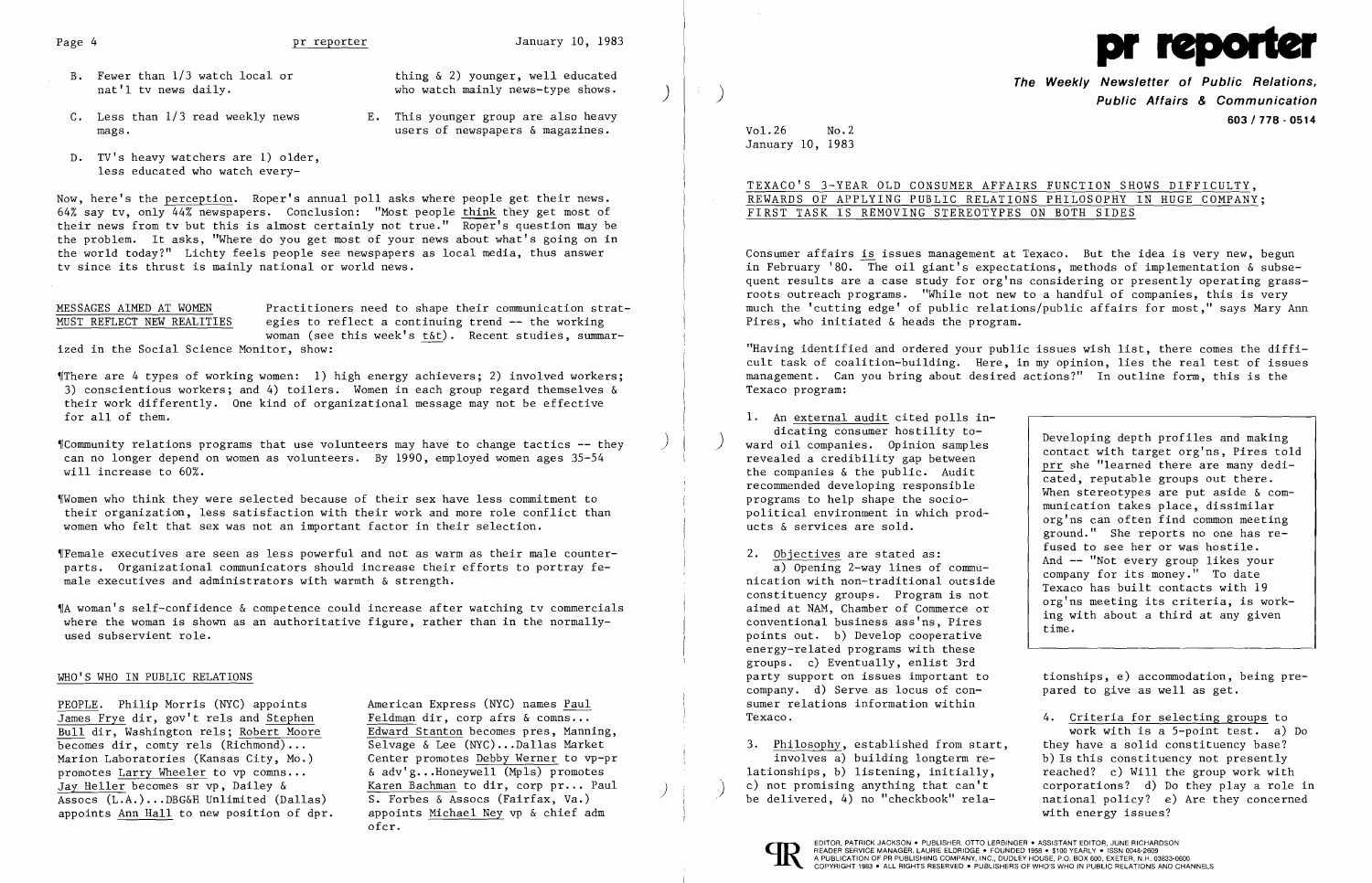- B. Fewer than 1/3 watch local or thing & 2) younger, well educated<br>nat'l tv news daily.<br>who watch mainly news-type shows.
- C. Less than  $1/3$  read weekly news  $\begin{array}{ccc}\n & E. & \text{This younger group are also heavy}\n\text{mass.} & \text{uses of newspapers of measures.}\n\end{array}$

who watch mainly news-type shows.  $\qquad \qquad$ 

- mags. users of newspapers & magazines.
- D. TV's heavy watchers are 1) older, less educated who watch every-

MESSAGES AIMED AT WOMEN Practitioners need to shape their communication strat-<br>MUST REFLECT NEW REALITIES egies to reflect a continuing trend -- the working egies to reflect a continuing trend  $-$  the working woman (see this week's t&t). Recent studies, summarized in the Social Science Monitor, show:

Now, here's the perception. Roper's annual poll asks where people get their news. 64% say tv, only 44% newspapers. Conclusion: "Most people think they get most of their news from tv but this is almost certainly not true." Roper's question may be the problem. It asks, "Where do you get most of your news about what's going on in the world today?" Lichty feels people see newspapers as local media, thus answer tv since its thrust is mainly national or world news.

 $\mathcal I$  Community relations programs that use volunteers may have to change tactics  $-\mathcal I$  they can no longer depend on women as volunteers. By 1990, employed women ages 35-54 will increase to 60%.

Women who think they were selected because of their sex have less commitment to their organization, less satisfaction with their work and more role conflict than women who felt that sex was not an important factor in their selection.

 $I$  Female executives are seen as less powerful and not as warm as their male counterparts. Organizational communicators should increase their efforts to portray female executives and administrators with warmth & strength.

'[There are 4 types of working women: 1) high energy achievers; 2) involved workers; 3) conscientious workers; and 4) toilers. Women in each group regard themselves & their work differently. One kind of organizational message may not be effective for all of them.

## TEXACO'S 3-YEAR OLD CONSUMER AFFAIRS FUNCTION SHOWS DIFFICULTY, REWARDS OF APPLYING PUBLIC RELATIONS PHILOSOPHY IN HUGE COMPANY; FIRST TASK IS REMOVING STEREOTYPES ON BOTH SIDES

1. An external audit cited polls indicating consumer hostility to-<br>ward oil companies. Opinion samples

2. Objectives are stated as:<br>
a) Opening 2-way lines of commu-<br>
nication with non-traditional outside a) Opening 2-way lines of commu-<br>nication with non-traditional outside<br>company for its money." To date<br>constituency groups. Program is not<br>aimed at NAM, Chamber of Commerce or<br>conventional business ass'ns, Pires<br>points out energy-related programs with these groups. c) Eventually, enlist 3rd sumer relations information within Texaco. The criteria for selecting groups to  $\sim$  4. Criteria for selecting groups to

3. Philosophy, established from start,<br>involves a) building longterm reinvolves a) building longterm re-<br>lationships, b) listening, initially, <br>reached? c) Will the group work with lationships, b) listening, initially, reached? c) Will the group work with c) not promising anything that can't corporations? d) Do they play a role



,[A woman's self-confidence & competence could increase after watching tv commercials where the woman is shown as an authoritative figure, rather than in the normallyused subservient role.

### WHO'S WHO IN PUBLIC RELATIONS

PEOPLE. Philip Morris (NYC) appoints American Express (NYC) names Paul<br>James Frye dir, gov't rels and Stephen Feldman dir, corp afrs & comns...  $\overline{\text{James} \text{ Frye}}$  dir, gov't rels and Stephen Feldman dir, corp afrs & comns...<br>Bull dir, Washington rels: Robert Moore Edward Stanton becomes pres, Manning, Bull dir, Washington rels; Robert Moore<br>becomes dir, comty rels (Richmond)... Marion Laboratories (Kansas City, Mo.) Center promotes <u>Debby Werner</u> to vp-p<br>promotes Larry Wheeler to vp comns...  $\& adv'g...Homeywell \text{ (Mpls) promotes}$ promotes <u>Larry Wheeler</u> to vp comns... <br>Jay Heller becomes sr vp, Dailey & Karen Bachman to dir, corp pr... Paul Jay Heller becomes sr vp, Dailey & Karen Bachman to dir, corp pr... Paul (2014) (2015) c) not promising anything that can't corporations? d) Do they play a role in Assocs (L.A.)...DBG&H Unlimited (Dallas) S. Forbes & Asso appoints Ann Hall to new position of dpr.



The Weekly Newsletter of Public Relations, ) Public Affairs & Communication *603/778* - 0514

and oil companies. Opinion samples and profiles and making revealed a credibility gap between revealed a credibility gap between profiles and revealed a credibility gap between revealed profiles with target org'ns, Pires t the companies  $\&$  the public. Audit recommended developing responsible<br>programs to help shape the socio-<br>munication takes place, dissimilar political environment in which prod-<br>ucts & services are sold.  $\begin{array}{c} \text{multaction takes place, dissimilarian} \\ \text{org'ns can often find common meeting} \\ \text{ground.} \end{array}$  She reports no one has re-<br>fused to see her or was hostile.

party support on issues important to tionships, e) accommodation, being pre-<br>company. d) Serve as locus of con-<br>pared to give as well as get. pared to give as well as get.

work with is a 5-point test. a) Do<br>they have a solid constituency base?

Vol.26 No.2 January 10, 1983

Selvage & Lee (NYC)...Dallas Market<br>Center promotes Debby Werner to vp-pr Assocs (L.A.) ... DBG&H Unlimited (Dallas) S. Forbes & Assocs (Fairfax, Va.) be delivered, 4) no "checkbook" rela- national policy? e) Are they concerned ofcr.

Consumer affairs is issues management at Texaco. But the idea is very new, begun in February '80. The oil giant's expectations, methods of implementation  $\&$  subsequent results are a case study for org'ns considering or presently operating grassroots outreach programs. "While not new to a handful of companies, this is very much the 'cutting edge' of public relations/public affairs for most," says Mary Ann Pires, who initiated & heads the program.

"Having identified and ordered your public issues wish list, there comes the difficult task of coalition-building. Here, in my opinion, lies the real test of issues management. Can you bring about desired actions?" In outline form, this is the Texaco program: